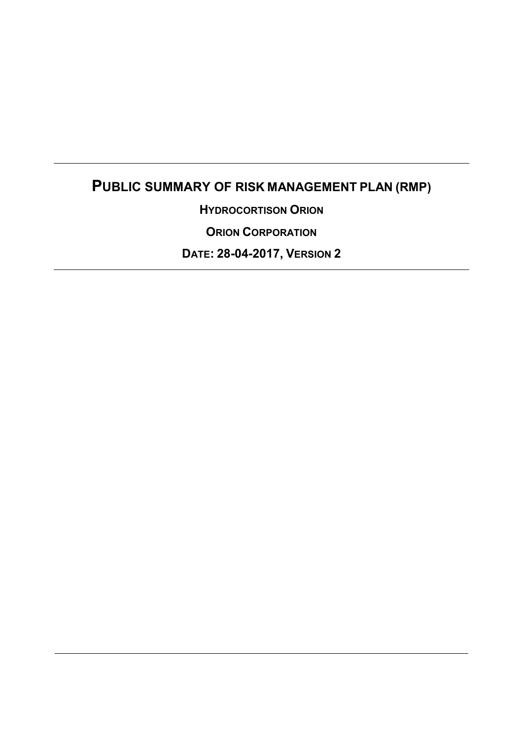# **PUBLIC SUMMARY OF RISK MANAGEMENT PLAN (RMP)**

**HYDROCORTISON ORION**

**ORION CORPORATION**

**DATE: 28-04-2017, VERSION 2**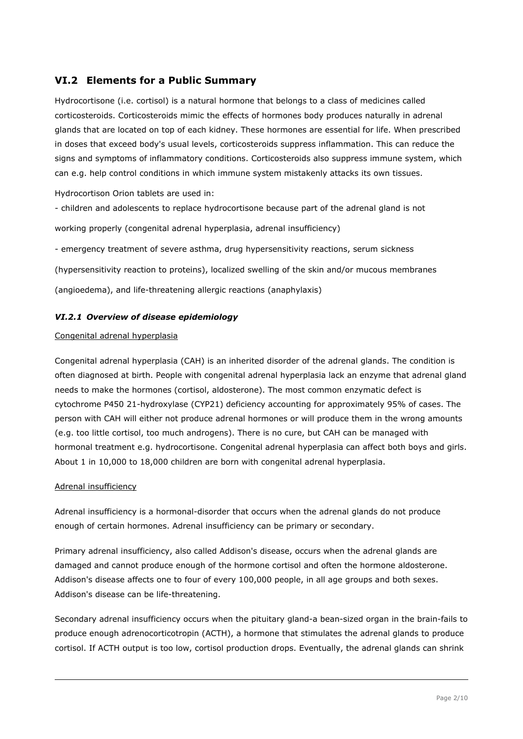# **VI.2 Elements for a Public Summary**

Hydrocortisone (i.e. cortisol) is a natural hormone that belongs to a class of medicines called corticosteroids. Corticosteroids mimic the effects of hormones body produces naturally in adrenal glands that are located on top of each kidney. These hormones are essential for life. When prescribed in doses that exceed body's usual levels, corticosteroids suppress inflammation. This can reduce the signs and symptoms of inflammatory conditions. Corticosteroids also suppress immune system, which can e.g. help control conditions in which immune system mistakenly attacks its own tissues.

Hydrocortison Orion tablets are used in:

- children and adolescents to replace hydrocortisone because part of the adrenal gland is not working properly (congenital adrenal hyperplasia, adrenal insufficiency)

- emergency treatment of severe asthma, drug hypersensitivity reactions, serum sickness

(hypersensitivity reaction to proteins), localized swelling of the skin and/or mucous membranes

(angioedema), and life-threatening allergic reactions (anaphylaxis)

### *VI.2.1 Overview of disease epidemiology*

#### Congenital adrenal hyperplasia

Congenital adrenal hyperplasia (CAH) is an inherited disorder of the adrenal glands. The condition is often diagnosed at birth. People with congenital adrenal hyperplasia lack an enzyme that adrenal gland needs to make the hormones (cortisol, aldosterone). The most common enzymatic defect is cytochrome P450 21-hydroxylase (CYP21) deficiency accounting for approximately 95% of cases. The person with CAH will either not produce adrenal hormones or will produce them in the wrong amounts (e.g. too little cortisol, too much androgens). There is no cure, but CAH can be managed with hormonal treatment e.g. hydrocortisone. Congenital adrenal hyperplasia can affect both boys and girls. About 1 in 10,000 to 18,000 children are born with congenital adrenal hyperplasia.

#### Adrenal insufficiency

Adrenal insufficiency is a hormonal-disorder that occurs when the adrenal glands do not produce enough of certain hormones. Adrenal insufficiency can be primary or secondary.

Primary adrenal insufficiency, also called Addison's disease, occurs when the adrenal glands are damaged and cannot produce enough of the hormone cortisol and often the hormone aldosterone. Addison's disease affects one to four of every 100,000 people, in all age groups and both sexes. Addison's disease can be life-threatening.

Secondary adrenal insufficiency occurs when the pituitary gland-a bean-sized organ in the brain-fails to produce enough adrenocorticotropin (ACTH), a hormone that stimulates the adrenal glands to produce cortisol. If ACTH output is too low, cortisol production drops. Eventually, the adrenal glands can shrink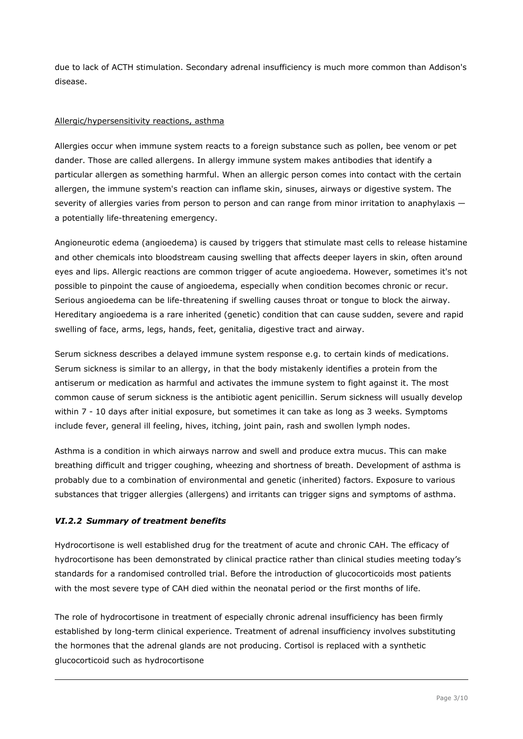due to lack of ACTH stimulation. Secondary adrenal insufficiency is much more common than Addison's disease.

#### Allergic/hypersensitivity reactions, asthma

Allergies occur when immune system reacts to a foreign substance such as pollen, bee venom or pet dander. Those are called allergens. In allergy immune system makes antibodies that identify a particular allergen as something harmful. When an allergic person comes into contact with the certain allergen, the immune system's reaction can inflame skin, sinuses, airways or digestive system. The severity of allergies varies from person to person and can range from minor irritation to anaphylaxis a potentially life-threatening emergency.

Angioneurotic edema (angioedema) is caused by triggers that stimulate mast cells to release histamine and other chemicals into bloodstream causing swelling that affects deeper layers in skin, often around eyes and lips. Allergic reactions are common trigger of acute angioedema. However, sometimes it's not possible to pinpoint the cause of angioedema, especially when condition becomes chronic or recur. Serious angioedema can be life-threatening if swelling causes throat or tongue to block the airway. Hereditary angioedema is a rare inherited (genetic) condition that can cause sudden, severe and rapid swelling of face, arms, legs, hands, feet, genitalia, digestive tract and airway.

Serum sickness describes a delayed immune system response e.g. to certain kinds of medications. Serum sickness is similar to an allergy, in that the body mistakenly identifies a protein from the antiserum or medication as harmful and activates the immune system to fight against it. The most common cause of serum sickness is the antibiotic agent penicillin. Serum sickness will usually develop within 7 - 10 days after initial exposure, but sometimes it can take as long as 3 weeks. Symptoms include fever, general ill feeling, hives, itching, joint pain, rash and swollen lymph nodes.

Asthma is a condition in which airways narrow and swell and produce extra mucus. This can make breathing difficult and trigger coughing, wheezing and shortness of breath. Development of asthma is probably due to a combination of environmental and genetic (inherited) factors. Exposure to various substances that trigger allergies (allergens) and irritants can trigger signs and symptoms of asthma.

### *VI.2.2 Summary of treatment benefits*

Hydrocortisone is well established drug for the treatment of acute and chronic CAH. The efficacy of hydrocortisone has been demonstrated by clinical practice rather than clinical studies meeting today's standards for a randomised controlled trial. Before the introduction of glucocorticoids most patients with the most severe type of CAH died within the neonatal period or the first months of life.

The role of hydrocortisone in treatment of especially chronic adrenal insufficiency has been firmly established by long-term clinical experience. Treatment of adrenal insufficiency involves substituting the hormones that the adrenal glands are not producing. Cortisol is replaced with a synthetic glucocorticoid such as hydrocortisone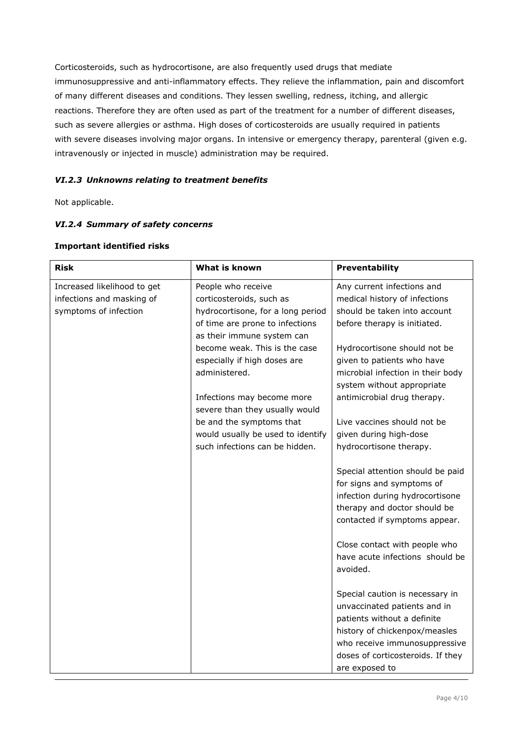Corticosteroids, such as hydrocortisone, are also frequently used drugs that mediate immunosuppressive and anti-inflammatory effects. They relieve the inflammation, pain and discomfort of many different diseases and conditions. They lessen swelling, redness, itching, and allergic reactions. Therefore they are often used as part of the treatment for a number of different diseases, such as severe allergies or asthma. High doses of corticosteroids are usually required in patients with severe diseases involving major organs. In intensive or emergency therapy, parenteral (given e.g. intravenously or injected in muscle) administration may be required.

## *VI.2.3 Unknowns relating to treatment benefits*

Not applicable.

### *VI.2.4 Summary of safety concerns*

| <b>Risk</b>                 | What is known                     | Preventability                                                                                                                                                                                                          |
|-----------------------------|-----------------------------------|-------------------------------------------------------------------------------------------------------------------------------------------------------------------------------------------------------------------------|
| Increased likelihood to get | People who receive                | Any current infections and                                                                                                                                                                                              |
| infections and masking of   | corticosteroids, such as          | medical history of infections                                                                                                                                                                                           |
| symptoms of infection       | hydrocortisone, for a long period | should be taken into account                                                                                                                                                                                            |
|                             | of time are prone to infections   | before therapy is initiated.                                                                                                                                                                                            |
|                             | as their immune system can        |                                                                                                                                                                                                                         |
|                             | become weak. This is the case     | Hydrocortisone should not be                                                                                                                                                                                            |
|                             | especially if high doses are      | given to patients who have                                                                                                                                                                                              |
|                             | administered.                     | microbial infection in their body                                                                                                                                                                                       |
|                             |                                   | system without appropriate                                                                                                                                                                                              |
|                             | Infections may become more        | antimicrobial drug therapy.                                                                                                                                                                                             |
|                             | severe than they usually would    |                                                                                                                                                                                                                         |
|                             | be and the symptoms that          | Live vaccines should not be                                                                                                                                                                                             |
|                             | would usually be used to identify | given during high-dose                                                                                                                                                                                                  |
|                             | such infections can be hidden.    | hydrocortisone therapy.                                                                                                                                                                                                 |
|                             |                                   | Special attention should be paid<br>for signs and symptoms of<br>infection during hydrocortisone<br>therapy and doctor should be<br>contacted if symptoms appear.                                                       |
|                             |                                   | Close contact with people who<br>have acute infections should be<br>avoided.                                                                                                                                            |
|                             |                                   | Special caution is necessary in<br>unvaccinated patients and in<br>patients without a definite<br>history of chickenpox/measles<br>who receive immunosuppressive<br>doses of corticosteroids. If they<br>are exposed to |

#### **Important identified risks**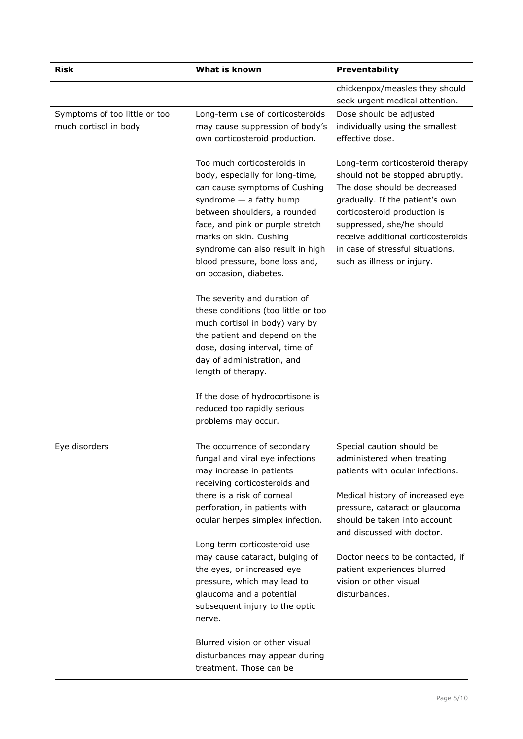| <b>Risk</b>                                            | What is known                                                                                                                                                                                                                                                                                                                                                                                                                                                                                                                                                                                                                                        | Preventability                                                                                                                                                                                                                                                                                              |
|--------------------------------------------------------|------------------------------------------------------------------------------------------------------------------------------------------------------------------------------------------------------------------------------------------------------------------------------------------------------------------------------------------------------------------------------------------------------------------------------------------------------------------------------------------------------------------------------------------------------------------------------------------------------------------------------------------------------|-------------------------------------------------------------------------------------------------------------------------------------------------------------------------------------------------------------------------------------------------------------------------------------------------------------|
|                                                        |                                                                                                                                                                                                                                                                                                                                                                                                                                                                                                                                                                                                                                                      | chickenpox/measles they should                                                                                                                                                                                                                                                                              |
| Symptoms of too little or too<br>much cortisol in body | Long-term use of corticosteroids<br>may cause suppression of body's<br>own corticosteroid production.                                                                                                                                                                                                                                                                                                                                                                                                                                                                                                                                                | seek urgent medical attention.<br>Dose should be adjusted<br>individually using the smallest<br>effective dose.                                                                                                                                                                                             |
|                                                        | Too much corticosteroids in<br>body, especially for long-time,<br>can cause symptoms of Cushing<br>syndrome $-$ a fatty hump<br>between shoulders, a rounded<br>face, and pink or purple stretch<br>marks on skin. Cushing<br>syndrome can also result in high<br>blood pressure, bone loss and,<br>on occasion, diabetes.<br>The severity and duration of<br>these conditions (too little or too<br>much cortisol in body) vary by<br>the patient and depend on the<br>dose, dosing interval, time of<br>day of administration, and<br>length of therapy.<br>If the dose of hydrocortisone is<br>reduced too rapidly serious<br>problems may occur. | Long-term corticosteroid therapy<br>should not be stopped abruptly.<br>The dose should be decreased<br>gradually. If the patient's own<br>corticosteroid production is<br>suppressed, she/he should<br>receive additional corticosteroids<br>in case of stressful situations,<br>such as illness or injury. |
| Eye disorders                                          | The occurrence of secondary<br>fungal and viral eye infections<br>may increase in patients                                                                                                                                                                                                                                                                                                                                                                                                                                                                                                                                                           | Special caution should be<br>administered when treating<br>patients with ocular infections.                                                                                                                                                                                                                 |
|                                                        | receiving corticosteroids and<br>there is a risk of corneal<br>perforation, in patients with<br>ocular herpes simplex infection.                                                                                                                                                                                                                                                                                                                                                                                                                                                                                                                     | Medical history of increased eye<br>pressure, cataract or glaucoma<br>should be taken into account<br>and discussed with doctor.                                                                                                                                                                            |
|                                                        | Long term corticosteroid use<br>may cause cataract, bulging of<br>the eyes, or increased eye<br>pressure, which may lead to<br>glaucoma and a potential<br>subsequent injury to the optic<br>nerve.                                                                                                                                                                                                                                                                                                                                                                                                                                                  | Doctor needs to be contacted, if<br>patient experiences blurred<br>vision or other visual<br>disturbances.                                                                                                                                                                                                  |
|                                                        | Blurred vision or other visual<br>disturbances may appear during<br>treatment. Those can be                                                                                                                                                                                                                                                                                                                                                                                                                                                                                                                                                          |                                                                                                                                                                                                                                                                                                             |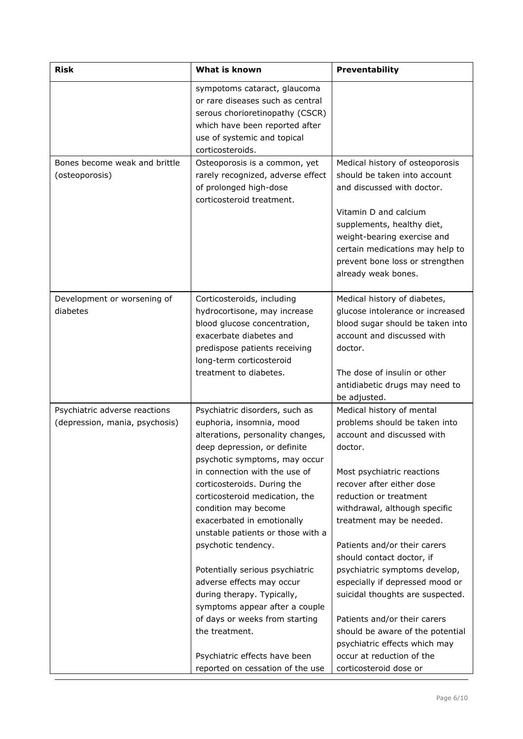| <b>Risk</b>                                                     | What is known                                                                                                                                                                                                                                                                                                                                                                                                                                                                                                                                                                                                                                 | Preventability                                                                                                                                                                                                                                                                                                                                                                                                                                                                                                                                                                         |
|-----------------------------------------------------------------|-----------------------------------------------------------------------------------------------------------------------------------------------------------------------------------------------------------------------------------------------------------------------------------------------------------------------------------------------------------------------------------------------------------------------------------------------------------------------------------------------------------------------------------------------------------------------------------------------------------------------------------------------|----------------------------------------------------------------------------------------------------------------------------------------------------------------------------------------------------------------------------------------------------------------------------------------------------------------------------------------------------------------------------------------------------------------------------------------------------------------------------------------------------------------------------------------------------------------------------------------|
|                                                                 | sympotoms cataract, glaucoma<br>or rare diseases such as central<br>serous chorioretinopathy (CSCR)<br>which have been reported after<br>use of systemic and topical<br>corticosteroids.                                                                                                                                                                                                                                                                                                                                                                                                                                                      |                                                                                                                                                                                                                                                                                                                                                                                                                                                                                                                                                                                        |
| Bones become weak and brittle<br>(osteoporosis)                 | Osteoporosis is a common, yet<br>rarely recognized, adverse effect<br>of prolonged high-dose<br>corticosteroid treatment.                                                                                                                                                                                                                                                                                                                                                                                                                                                                                                                     | Medical history of osteoporosis<br>should be taken into account<br>and discussed with doctor.<br>Vitamin D and calcium<br>supplements, healthy diet,<br>weight-bearing exercise and<br>certain medications may help to<br>prevent bone loss or strengthen<br>already weak bones.                                                                                                                                                                                                                                                                                                       |
| Development or worsening of<br>diabetes                         | Corticosteroids, including<br>hydrocortisone, may increase<br>blood glucose concentration,<br>exacerbate diabetes and<br>predispose patients receiving<br>long-term corticosteroid<br>treatment to diabetes.                                                                                                                                                                                                                                                                                                                                                                                                                                  | Medical history of diabetes,<br>glucose intolerance or increased<br>blood sugar should be taken into<br>account and discussed with<br>doctor.<br>The dose of insulin or other<br>antidiabetic drugs may need to<br>be adjusted.                                                                                                                                                                                                                                                                                                                                                        |
| Psychiatric adverse reactions<br>(depression, mania, psychosis) | Psychiatric disorders, such as<br>euphoria, insomnia, mood<br>alterations, personality changes,<br>deep depression, or definite<br>psychotic symptoms, may occur<br>in connection with the use of<br>corticosteroids. During the<br>corticosteroid medication, the<br>condition may become<br>exacerbated in emotionally<br>unstable patients or those with a<br>psychotic tendency.<br>Potentially serious psychiatric<br>adverse effects may occur<br>during therapy. Typically,<br>symptoms appear after a couple<br>of days or weeks from starting<br>the treatment.<br>Psychiatric effects have been<br>reported on cessation of the use | Medical history of mental<br>problems should be taken into<br>account and discussed with<br>doctor.<br>Most psychiatric reactions<br>recover after either dose<br>reduction or treatment<br>withdrawal, although specific<br>treatment may be needed.<br>Patients and/or their carers<br>should contact doctor, if<br>psychiatric symptoms develop,<br>especially if depressed mood or<br>suicidal thoughts are suspected.<br>Patients and/or their carers<br>should be aware of the potential<br>psychiatric effects which may<br>occur at reduction of the<br>corticosteroid dose or |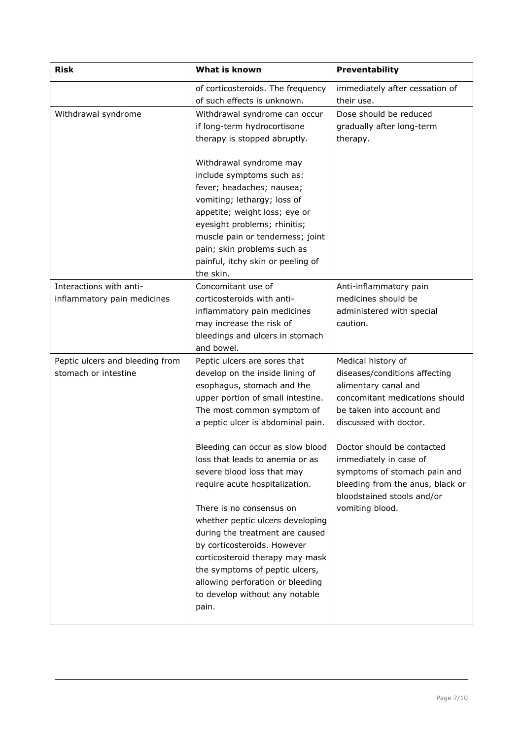| <b>Risk</b>                                             | What is known                                                                                                                                                                                                                                                                                                                                                                                                                                                                                                                                                                                                                      | Preventability                                                                                                                                                                                                                                                                                                                                    |  |
|---------------------------------------------------------|------------------------------------------------------------------------------------------------------------------------------------------------------------------------------------------------------------------------------------------------------------------------------------------------------------------------------------------------------------------------------------------------------------------------------------------------------------------------------------------------------------------------------------------------------------------------------------------------------------------------------------|---------------------------------------------------------------------------------------------------------------------------------------------------------------------------------------------------------------------------------------------------------------------------------------------------------------------------------------------------|--|
|                                                         | of corticosteroids. The frequency<br>of such effects is unknown.                                                                                                                                                                                                                                                                                                                                                                                                                                                                                                                                                                   | immediately after cessation of<br>their use.                                                                                                                                                                                                                                                                                                      |  |
| Withdrawal syndrome                                     | Withdrawal syndrome can occur<br>if long-term hydrocortisone<br>therapy is stopped abruptly.<br>Withdrawal syndrome may<br>include symptoms such as:<br>fever; headaches; nausea;<br>vomiting; lethargy; loss of<br>appetite; weight loss; eye or<br>eyesight problems; rhinitis;<br>muscle pain or tenderness; joint<br>pain; skin problems such as<br>painful, itchy skin or peeling of<br>the skin.                                                                                                                                                                                                                             | Dose should be reduced<br>gradually after long-term<br>therapy.                                                                                                                                                                                                                                                                                   |  |
| Interactions with anti-<br>inflammatory pain medicines  | Concomitant use of<br>corticosteroids with anti-<br>inflammatory pain medicines<br>may increase the risk of<br>bleedings and ulcers in stomach<br>and bowel.                                                                                                                                                                                                                                                                                                                                                                                                                                                                       | Anti-inflammatory pain<br>medicines should be<br>administered with special<br>caution.                                                                                                                                                                                                                                                            |  |
| Peptic ulcers and bleeding from<br>stomach or intestine | Peptic ulcers are sores that<br>develop on the inside lining of<br>esophagus, stomach and the<br>upper portion of small intestine.<br>The most common symptom of<br>a peptic ulcer is abdominal pain.<br>Bleeding can occur as slow blood<br>loss that leads to anemia or as<br>severe blood loss that may<br>require acute hospitalization.<br>There is no consensus on<br>whether peptic ulcers developing<br>during the treatment are caused<br>by corticosteroids. However<br>corticosteroid therapy may mask<br>the symptoms of peptic ulcers,<br>allowing perforation or bleeding<br>to develop without any notable<br>pain. | Medical history of<br>diseases/conditions affecting<br>alimentary canal and<br>concomitant medications should<br>be taken into account and<br>discussed with doctor.<br>Doctor should be contacted<br>immediately in case of<br>symptoms of stomach pain and<br>bleeding from the anus, black or<br>bloodstained stools and/or<br>vomiting blood. |  |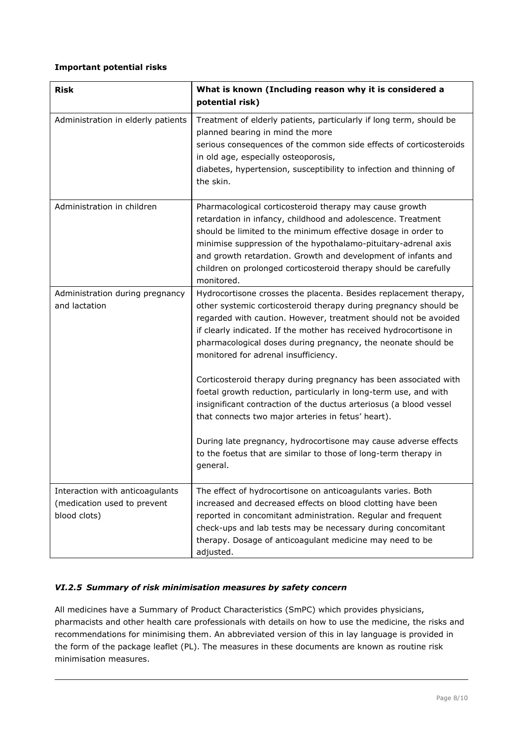## **Important potential risks**

| <b>Risk</b>                                                                    | What is known (Including reason why it is considered a<br>potential risk)                                                                                                                                                                                                                                                                                                                                     |
|--------------------------------------------------------------------------------|---------------------------------------------------------------------------------------------------------------------------------------------------------------------------------------------------------------------------------------------------------------------------------------------------------------------------------------------------------------------------------------------------------------|
| Administration in elderly patients                                             | Treatment of elderly patients, particularly if long term, should be<br>planned bearing in mind the more<br>serious consequences of the common side effects of corticosteroids<br>in old age, especially osteoporosis,<br>diabetes, hypertension, susceptibility to infection and thinning of<br>the skin.                                                                                                     |
| Administration in children                                                     | Pharmacological corticosteroid therapy may cause growth<br>retardation in infancy, childhood and adolescence. Treatment<br>should be limited to the minimum effective dosage in order to<br>minimise suppression of the hypothalamo-pituitary-adrenal axis<br>and growth retardation. Growth and development of infants and<br>children on prolonged corticosteroid therapy should be carefully<br>monitored. |
| Administration during pregnancy<br>and lactation                               | Hydrocortisone crosses the placenta. Besides replacement therapy,<br>other systemic corticosteroid therapy during pregnancy should be<br>regarded with caution. However, treatment should not be avoided<br>if clearly indicated. If the mother has received hydrocortisone in<br>pharmacological doses during pregnancy, the neonate should be<br>monitored for adrenal insufficiency.                       |
|                                                                                | Corticosteroid therapy during pregnancy has been associated with<br>foetal growth reduction, particularly in long-term use, and with<br>insignificant contraction of the ductus arteriosus (a blood vessel<br>that connects two major arteries in fetus' heart).                                                                                                                                              |
|                                                                                | During late pregnancy, hydrocortisone may cause adverse effects<br>to the foetus that are similar to those of long-term therapy in<br>general.                                                                                                                                                                                                                                                                |
| Interaction with anticoagulants<br>(medication used to prevent<br>blood clots) | The effect of hydrocortisone on anticoagulants varies. Both<br>increased and decreased effects on blood clotting have been<br>reported in concomitant administration. Regular and frequent<br>check-ups and lab tests may be necessary during concomitant<br>therapy. Dosage of anticoagulant medicine may need to be<br>adjusted.                                                                            |

### *VI.2.5 Summary of risk minimisation measures by safety concern*

All medicines have a Summary of Product Characteristics (SmPC) which provides physicians, pharmacists and other health care professionals with details on how to use the medicine, the risks and recommendations for minimising them. An abbreviated version of this in lay language is provided in the form of the package leaflet (PL). The measures in these documents are known as routine risk minimisation measures.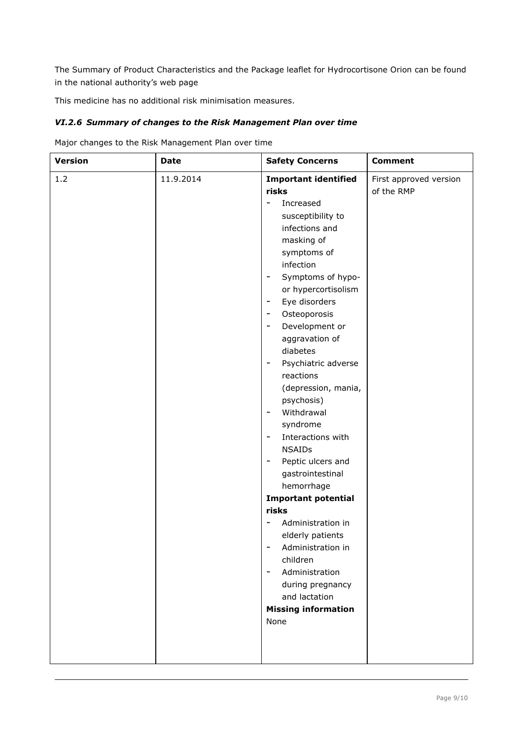The Summary of Product Characteristics and the Package leaflet for Hydrocortisone Orion can be found in the national authority's web page

This medicine has no additional risk minimisation measures.

## *VI.2.6 Summary of changes to the Risk Management Plan over time*

Major changes to the Risk Management Plan over time

| <b>Version</b> | <b>Date</b> | <b>Safety Concerns</b>                                                                                                                                                                                                                                                                                                                                                                                                                                                                                                                                                                                                                                                                                                                                                                                                                                                                                                                                                                         | <b>Comment</b>                       |
|----------------|-------------|------------------------------------------------------------------------------------------------------------------------------------------------------------------------------------------------------------------------------------------------------------------------------------------------------------------------------------------------------------------------------------------------------------------------------------------------------------------------------------------------------------------------------------------------------------------------------------------------------------------------------------------------------------------------------------------------------------------------------------------------------------------------------------------------------------------------------------------------------------------------------------------------------------------------------------------------------------------------------------------------|--------------------------------------|
| 1.2            | 11.9.2014   | <b>Important identified</b><br>risks<br>Increased<br>$\qquad \qquad \blacksquare$<br>susceptibility to<br>infections and<br>masking of<br>symptoms of<br>infection<br>Symptoms of hypo-<br>$\overline{\phantom{a}}$<br>or hypercortisolism<br>Eye disorders<br>$\overline{\phantom{a}}$<br>Osteoporosis<br>$\overline{\phantom{a}}$<br>Development or<br>$\overline{\phantom{a}}$<br>aggravation of<br>diabetes<br>Psychiatric adverse<br>$\overline{\phantom{a}}$<br>reactions<br>(depression, mania,<br>psychosis)<br>Withdrawal<br>$\overline{\phantom{a}}$<br>syndrome<br>Interactions with<br>$\overline{\phantom{a}}$<br><b>NSAIDs</b><br>Peptic ulcers and<br>$\overline{\phantom{a}}$<br>gastrointestinal<br>hemorrhage<br><b>Important potential</b><br>risks<br>Administration in<br>$\overline{\phantom{a}}$<br>elderly patients<br>Administration in<br>children<br>Administration<br>$\qquad \qquad -$<br>during pregnancy<br>and lactation<br><b>Missing information</b><br>None | First approved version<br>of the RMP |